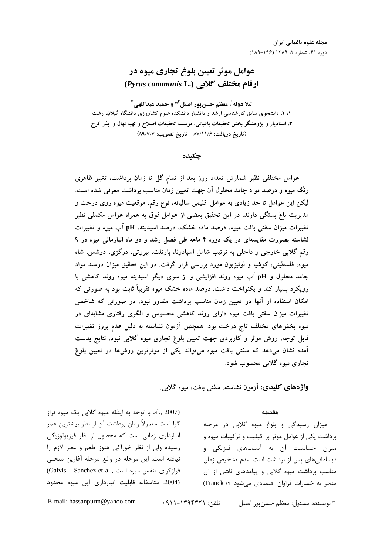# عوامل موثر تعيين بلوغ تجاري ميوه در ارقام مختلف گلابی (Pyrus communis L.)

ليلا دوله'، معظم حسن بور اصيل ً'\* و حميد عبداللهي ً' ۱، ۲، دانشجوی سابق کارشناسی ارشد و دانشیار دانشکده علوم کشاورزی دانشگاه گیلان، رشت ۳، استادیار و پژوهشگر بخش تحقیقات باغبانی، موسسه تحقیقات اصلاح و تهیه نهال و بذر کرج (تاريخ دريافت: ۸۷/۱۱/۶ - تاريخ تصويب: ۸۹/۷/۷)

جكىدە

عوامل مختلفی نظیر شمارش تعداد روز بعد از تمام گل تا زمان برداشت، تغییر ظاهری رنگ میوه و درصد مواد جامد محلول آن جهت تعیین زمان مناسب برداشت معرفی شده است. لیکن این عوامل تا حد زیادی به عوامل اقلیمی سالیانه، نوع رقم، موقعیت میوه روی درخت و مدیریت باغ بستگی دارند. در این تحقیق بعضی از عوامل فوق به همراه عوامل مکملی نظیر تغییرات میزان سفتی بافت میوه، درصد ماده خشک، درصد اسیدیته، pH آب میوه و تغییرات نشاسته بصورت مقایسهای در یک دوره ۴ ماهه طی فصل رشد و دو ماه انبارمانی میوه در ۹ رقم گلابی خارجی و داخلی به ترتیب شامل اسپادونا، بارتلت، بیروتی، درگزی، دوشس، شاه میوه، فلسطینی، کوشیا و لوئیزبون مورد بررسی قرار گرفت. در این تحقیق میزان درصد مواد جامد محلول و pH آب میوه روند افزایشی و از سوی دیگر اسیدیته میوه روند کاهشی با رویکرد بسیار کند و یکنواخت داشت. درصد ماده خشک میوه تقریباً ثابت بود به صورتی که امکان استفاده از آنها در تعیین زمان مناسب برداشت مقدور نبود. در صورتی که شاخص تغییرات میزان سفتی بافت میوه دارای روند کاهشی محسوس و الگوی رفتاری مشابهای در میوه بخشهای مختلف تاج درخت بود. همچنین آزمون نشاسته به دلیل عدم بروز تغییرات قابل توجه، روش موثر و کاربردی جهت تعیین بلوغ تجاری میوه گلابی نبود. نتایج بدست آمده نشان میدهد که سفتی بافت میوه میتواند یکی از موثرترین روشها در تعیین بلوغ تجاري ميوه گلابي محسوب شود.

واژههای کلیدی: آزمون نشاسته، سفتی بافت، میوه گلابی.

### مقدمه

میزان رسیدگی و بلوغ میوه گلابی در مرحله برداشت یکی از عوامل موثر بر کیفیت و ترکیبات میوه و میزان حساسیت آن به آسیبهای فیزیکی و نابسامانیهای پس از برداشت است. عدم تشخیص زمان مناسب برداشت میوه گلابی و پیامدهای ناشی از آن منجر به خسارات فراوان اقتصادی می شود Franck et)

al., 2007). با توجه به اینکه میوه گلابی یک میوه فراز گرا است معمولاً زمان برداشت آن از نظر بیشترین عمر انبارداری زمانی است که محصول از نظر فیزیولوژیکی رسیده ولی از نظر خوراکی هنوز طعم و عطر لازم را نیافته است. این مرحله در واقع مرحله آغازین منحنی (Galvis - Sanchez et al., فرازگرای تنفس میوه است (2004. متاسفانه قابليت انباردارى اين ميوه محدود

E-mail: hassanpurm@yahoo.com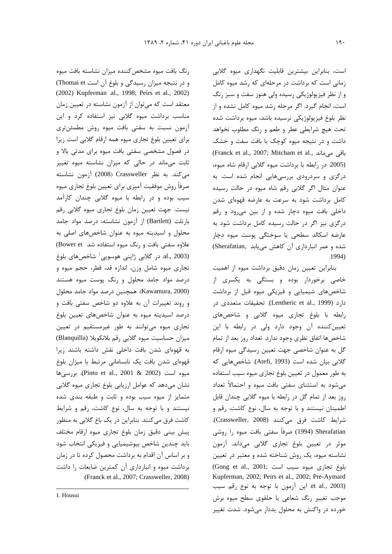است، بنابراین بیشترین قابلیت نگهداری میوه گلابی زمانی است که برداشت در مرحلهای که رشد میوه کامل و از نظر فیزیولوژیکی رسیده ولی هنوز سفت و سبز رنگ است، انجام گیرد. اگر مرحله رشد میوه کامل نشده و از نظر بلوغ فيزيولوژيكى نرسيده باشد، ميوه برداشت شده تحت هیچ شرایطی عطر و طعم و رنگ مطلوب نخواهد داشت و در نتیجه میوه کوچک با بافت سفت و خشک (Franck et al., 2007; Mitcham et al., باقی می ماند (2005. در رابطه با برداشت میوه گلابی ارقام شاه میوه، درگزی و سردرودی بررسیهایی انجام شده است. به عنوان مثال اگر گلابی رقم شاه میوه در حالت رسیده كامل برداشت شود به سرعت به عارضه قهوهای شدن داخلی بافت میوه دچار شده و از بین می رود و رقم درگزی نیز اگر در حالت رسیده کامل برداشت شود به عارضه اسکالد سطحی یا سوختگی پوست میوه دچار شده و عمر انبارداری آن کاهش می یابد .Sherafatian)  $.1994)$ 

بنابراین تعیین زمان دقیق برداشت میوه از اهمیت خاصی برخوردار بوده و بستگی به یکسری از شاخصهای شیمیایی و فیزیکی میوه قبل از برداشت دارد (Lentheric et al., 1999). تحقيقات متعددي در رابطه با بلوغ تجارى ميوه گلابى و شاخصهاى تعیین کننده آن وجود دارد ولی در رابطه با این شاخصها اتفاق نظري وجود ندارد. تعداد روز بعد از تمام گل به عنوان شاخصی جهت تعیین رسیدگی میوه ارقام گلابی بیان شده است (Atefi, 1993). شاخص هایی که به طور معمول در تعیین بلوغ تجاری میوه سیب استفاده مے شود به استثنای سفتے بافت میوه و احتمالاً تعداد روز بعد از تمام گل در رابطه با میوه گلابی چندان قابل اطمینان نیستند و با توجه به سال، نوع کاشت، رقم و شرايط كاشت فرق مى كنند (Crassweller, 2008). Sherafatian (1994) صرفاً سفتی بافت میوه را روشی موثر در تعیین بلوغ تجاری گلابی میداند. آزمون نشاسته میوه، یک روش شناخته شده و معتبر در تعیین (Gong et al., 2001; الموغ تجارى ميوه سيب است Kupferman, 2002; Peirs et al., 2002; Pre-Aymard et al., 2003). این آزمون با توجه به نوع رقم سیب موجب تغییر رنگ شعاعی یا حلقوی سطح میوه برش خورده در واکنش به محلول یددار میشود. شدت تغییر

(2002) Kupferman al., 1998; Peirs et al., 2002) معتقد است که می توان از آزمون نشاسته در تعیین زمان مناسب برداشت میوه گلابی نیز استفاده کرد و این آزمون نسبت به سفتى بافت ميوه روش مطمئن ترى برای تعیین بلوغ تجاری میوه همه ارقام گلابی است زیرا در فصول مشخصی سفتی بافت میوه برای مدتی بالا و ثابت میماند در حالی که میزان نشاسته میوه تغییر می کند. به نظر Crassweller (2008) آزمون نشاسته صرفأ روش موفقيت آميزي براي تعيين بلوغ تجاري ميوه سیب بوده و در رابطه با میوه گلابی چندان کارآمد نيست. جهت تعيين زمان بلوغ تجاري ميوه گلابي رقم بارتلت (Bartlett) از آزمون نشاسته، درصد مواد جامد محلول و اسیدیته میوه به عنوان شاخصهای اصلی به علاوه سفتی بافت و رنگ میوه استفاده شد Bower et) al., 2003). در گلابی ژاپنی هوسویی<sup>٬</sup> شاخصهای بلوغ تجاري ميوه شامل وزن، اندازه قد، قطر، حجم ميوه و درصد مواد جامد محلول و رنگ پوست میوه هستند (Kawamura, 2000). همچنین درصد مواد جامد محلول و روند تغییرات آن به علاوه دو شاخص سفتی بافت و درصد اسیدیته میوه به عنوان شاخصهای تعیین بلوغ تجاری میوه می توانند به طور غیرمستقیم در تعیین میزان حساسیت میوه گلابی رقم بلانکویلا (Blanquilla) به قهوهای شدن بافت داخلی نقش داشته باشند زیرا قهوهای شدن بافت یک نابسامانی مرتبط با میزان بلوغ ميوه است (Pinto et al., 2001 & 2002). بررسي ها نشان مے،دھد که عوامل ارزیابی بلوغ تجاری میوه گلابی متمایز از میوه سیب بوده و ثابت و طبقه بندی شده نیستند و با توجه به سال، نوع کاشت، رقم و شرایط کاشت فرق میکنند. بنابراین در یک باغ گلابی به منظور پیش بینی دقیق زمان بلوغ تجاری میوه ارقام مختلف باید چندین شاخص بیوشیمیایی و فیزیکی انتخاب شود و بر اساس آن اقدام به برداشت محصول کرده تا در زمان برداشت میوه و انبارداری آن کمترین ضایعات را داشت (Franck et al., 2007; Crassweller, 2008).

رنگ بافت میوه مشخص کننده میزان نشاسته بافت میوه

و در نتیجه میزان رسیدگی و بلوغ آن است Thomai et)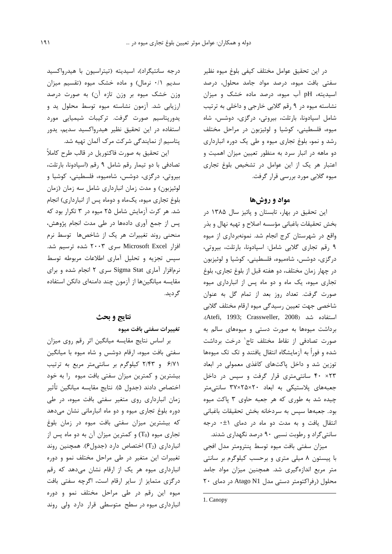در این تحقیق عوامل مختلف کیفی بلوغ میوه نظیر سفتی بافت میوه، درصد مواد جامد محلول، درصد اسیدیته، pH آب میوه، درصد ماده خشک و میزان نشاسته میوه در ۹ رقم گلابی خارجی و داخلی به ترتیب شامل اسپادونا، بارتلت، بیروتی، درگزی، دوشس، شاه ميوه، فلسطيني، كوشيا و لوئيزبون در مراحل مختلف رشد و نمو، بلوغ تجاری میوه و طی یک دوره انبارداری دو ماهه در انبار سرد به منظور تعیین میزان اهمیت و اعتبار هر یک از این عوامل در تشخیص بلوغ تجاری میوہ گلابے مورد بررسے قرار گرفت.

# مواد و روشها

این تحقیق در بهار، تابستان و پائیز سال ۱۳۸۵ در بخش تحقيقات باغباني مؤسسه اصلاح و تهيه نهال و بذر واقع در شهرستان کرج انجام شد. نمونهبرداری از میوه ۹ رقم تجاری گلابی شامل: اسپادونا، بارتلت، بیروتی، درگزی، دوشس، شاهمیوه، فلسطینی، کوشیا و لوئیزبون در چهار زمان مختلف، دو هفته قبل از بلوغ تجارى، بلوغ تجاری میوه، یک ماه و دو ماه پس از انبارداری میوه صورت گرفت. تعداد روز بعد از تمام گل به عنوان شاخصي جهت تعيين رسيدگي ميوه ارقام مختلف گلابي .(Atefi, 1993; Crassweller, 2008) Atefi, 1993; برداشت میوهها به صورت دستی و میوههای سالم به صورت تصادفی از نقاط مختلف تاج' درخت برداشت شده و فوراً به آزمایشگاه انتقال یافتند و تک تک میوهها توزین شد و داخل پاکتهای کاغذی معمولی در ابعاد ۴۰ × ۴۰ سانتیمتری قرار گرفت و سپس در داخل جعبههای پلاستیکی به ابعاد ٢٠×٢۵×٣٧ سانتی متر چیده شد به طوری که هر جعبه حاوی ۳ پاکت میوه بود. جعبهها سپس به سردخانه بخش تحقیقات باغبانی انتقال یافت و به مدت دو ماه در دمای (t+ درجه سانتی گراد و رطوبت نسبی ۹۰ درصد نگهداری شدند.

ميزان سفتى بافت ميوه توسط ينترومتر مدل افجى با پیستون ۸ میلی متری و برحسب کیلوگرم بر سانتی متر مربع اندازهگیری شد. همچنین میزان مواد جامد محلول (رفراكتومتر دستى مدل Atago N1 در دماى ٢٠

درجه سانتیگراد)، اسیدیته (تیتراسیون با هیدرواکسید سدیم ۰/۱ نرمال) و ماده خشک میوه (تقسیم میزان وزن خشک میوه بر وزن تازه آن) به صورت درصد ارزیابی شد. آزمون نشاسته میوه توسط محلول ید و يدورپتاسيم صورت گرفت. تركيبات شيميايي مورد استفاده در این تحقیق نظیر هیدرواکسید سدیم، یدور یتاسیم از نمایندگی شرکت مرک آلمان تهیه شد.

اين تحقيق به صورت فاكتوريل در قالب طرح كاملاً تصادفی با دو تیمار رقم شامل ۹ رقم (اسپادونا، بارتلت، بیروتی، درگزی، دوشس، شاهمیوه، فلسطینی، کوشیا و لوئیزبون) و مدت زمان انبارداری شامل سه زمان (زمان بلوغ تجاري ميوه، يكماه و دوماه پس از انبارداري) انجام شد. هر کرت آزمایش شامل ۲۵ میوه در ۳ تکرار بود که پس از جمع آوری دادهها در طی مدت انجام پژوهش، منحنی روند تغییرات هر یک از شاخصها توسط نرم افزار Microsoft Excel سری ۲۰۰۳ شده ترسیم شد. سیس تجزیه و تحلیل آماری اطلاعات مربوطه توسط نرمافزار آماری Sigma Stat سری ۲ انجام شده و برای مقایسه میانگینها از آزمون چند دامنهای دانکن استفاده گر دید.

## نتايج و بحث

تغييرات سفتي بافت ميوه

بر اساس نتایج مقایسه میانگین اثر رقم روی میزان سفتی بافت میوه، ارقام دوشس و شاه میوه با میانگین ۶/۷۱ و ۲/۴۳ کیلوگرم بر سانتی متر مربع به ترتیب بیشترین و کمترین میزان سفتی بافت میوه را به خود اختصاص دادند (جدول ۵). نتايج مقايسه ميانگين تأثير زمان انبارداری روی متغیر سفتی بافت میوه، در طی دوره بلوغ تجاری میوه و دو ماه انبارمانی نشان میدهد که بیشترین میزان سفتی بافت میوه در زمان بلوغ تجاری میوه (T0) و کمترین میزان آن به دو ماه پس از انبارداری (T2) اختصاص دارد (جدول ۶). همچنین روند تغییرات این متغیر در طی مراحل مختلف نمو و دوره انبارداری میوه هر یک از ارقام نشان میدهد که رقم درگزی متمایز از سایر ارقام است، اگرچه سفتی بافت میوه این رقم در طی مراحل مختلف نمو و دوره انبارداری میوه در سطح متوسطی قرار دارد ولی روند

<sup>1.</sup> Canopy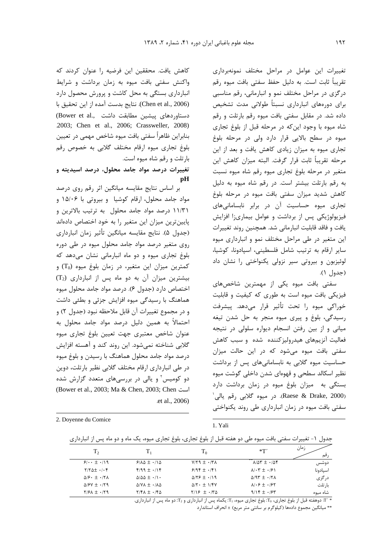تغییرات این عوامل در مراحل مختلف نمونهبرداری تقریباً ثابت است. به دلیل حفظ سفتی بافت میوه رقم درگزی در مراحل مختلف نمو و انبارمانی، رقم مناسبی برای دورەهای انبارداری نسبتاً طولانی مدت تشخیص داده شد. در مقابل سفتی بافت میوه رقم بارتلت و رقم شاه میوه با وجود این که در مرحله قبل از بلوغ تجاری میوه در سطح بالایی قرار دارد ولی در مرحله بلوغ تجاری میوه به میزان زیادی کاهش یافت و بعد از این مرحله تقريباً ثابت قرار گرفت. البته ميزان كاهش اين متغیر در مرحله بلوغ تجاری میوه رقم شاه میوه نسبت به رقم بارتلت بیشتر است. در رقم شاه میوه به دلیل كاهش شديد ميزان سفتى بافت ميوه در مرحله بلوغ تجاري ميوه حساسيت آن در برابر نابساماني هاي فیزیولوژیکی پس از برداشت و عوامل بیماریزا افزایش يافت و فاقد قابليت انبارماني شد. همچنين روند تغييرات این متغیر در طی مراحل مختلف نمو و انبارداری میوه سایر ارقام به ترتیب شامل فلسطینی، اسپادونا، کوشیا، لوئیزبون و بیروتی سیر نزولی یکنواختی را نشان داد  $( \wedge )$  (حدول ١).

سفتی بافت میوه یکی از مهمترین شاخصهای فیزیکی بافت میوه است به طوری که کیفیت و قابلیت خوراكي ميوه را تحت تأثير قرار مىدهد. پيشرفت رسیدگی، بلوغ و پیری میوه منجر به حل شدن تیغه میانی و از بین رفتن انسجام دیواره سلولی در نتیجه فعالیت آنزیمهای هیدرولیزکننده شده و سبب کاهش سفتی بافت میوه می شود که در این حالت میزان حساسیت میوه گلابی به نابسامانیهای پس از برداشت نظیر اسکالد سطحی و قهوهای شدن داخلی گوشت میوه بستگی به میزان بلوغ میوه در زمان برداشت دارد (Raese & Drake, 2000). در میوه گلابی رقم یالی<sup>\</sup> سفتی بافت میوه در زمان انبارداری طی روند یکنواختی

كاهش يافت. محققين اين فرضيه را عنوان كردند كه واکنش سفتی بافت میوه به زمان برداشت و شرایط انبارداری بستگی به محل کاشت و پرورش محصول دارد (Chen et al., 2006). نتايج بدست آمده از اين تحقيق با (Bower et al., دستاوردهای پیشین مطابقت داشت) .2003; Chen et al., 2006; Crassweller, 2008) بنابراین ظاهراً سفتی بافت میوه شاخص مهمی در تعیین بلوغ تجارى ميوه ارقام مختلف كلابي به خصوص رقم بارتلت و رقم شاه میوه است.

تغییرات درصد مواد جامد محلول، درصد اسیدیته و **pH** 

بر اساس نتایج مقایسه میانگین اثر رقم روی درصد مواد جامد محلول، ارقام کوشیا و بیروتی با ۱۵/۰۶ و ١١/٣١ درصد مواد جامد محلول به ترتيب بالاترين و پایینترین میزان این متغیر را به خود اختصاص دادهاند (جدول ۵). نتايج مقايسه ميانگين تأثير زمان انبارداري روی متغیر درصد مواد جامد محلول میوه در طی دوره بلوغ تجاری میوه و دو ماه انبارمانی نشان می دهد که کمترین میزان این متغیر، در زمان بلوغ میوه (T<sub>0</sub>) و  $(T_2)$  بیشترین میزان آن به دو ماه پس از انبارداری اختصاص دارد (جدول ۶). درصد مواد جامد محلول میوه هماهنگ با رسیدگی میوه افزایش جزئی و بطئی داشت و در مجموع تغييرات آن قابل ملاحظه نبود (جدول ٢) و احتمالاً به همین دلیل درصد مواد جامد محلول به عنوان شاخص معتبري جهت تعيين بلوغ تجارى ميوه گلابی شناخته نمی شود. این روند کند و آهسته افزایش درصد مواد جامد محلول هماهنگ با رسیدن و بلوغ میوه در طی انبارداری ارقام مختلف گلابی نظیر بارتلت، دوین دو کومیس آو پالی در بررسی های متعدد گزارش شده (Bower et al., 2003; Ma & Chen, 2003; Chen et al., 2006).

| 2. Doyenne du Comice |  |  |
|----------------------|--|--|
|                      |  |  |

#### 1 Yali

جدول ۱- تغییرات سفتی بافت میوه طی دو هفته قبل از بلوغ تجاری، بلوغ تجاری میوه، یک ماه و دو ماه پس از انبارداری

| T <sub>2</sub>                                     |                                        | $T_0$                              | $*T'$                                                    | زمان<br>ر قم |
|----------------------------------------------------|----------------------------------------|------------------------------------|----------------------------------------------------------|--------------|
| $9!\cdot \pm \cdot$ 19                             | $9/10 \pm 1/10$                        | $V/Y$ ۹ $\pm$ $\cdot$ /۳ $\Lambda$ | $\lambda/\Delta \Upsilon \pm -\lambda \Delta \Upsilon$   | دوشس         |
| $Y/Y\Delta t \cdot \cdot \cdot f$                  | $919 + 119$                            | $9/99 + \cdot$ /9)                 | $\lambda$ $\cdot$ $\tau$ $\pm$ $\cdot$ $\beta$ $\lambda$ | اسيادونا     |
| $\Delta$ / $\epsilon$ + $\cdot$ / $\tau$ $\Lambda$ | $\Delta/\Delta\Delta \pm \cdot/\Gamma$ | $\Delta$ /۲۶ $\pm$ $\cdot$ /19     | $\Delta$ /95 $\pm$ $\cdot$ /58                           | در گزی       |
| $\Delta$ / $\epsilon$ V $\pm$ $\cdot$ / $\zeta$ 9  | $\Delta$ /VA $\pm$ $\cdot$ /A $\Delta$ | $\Delta$ /۲ $\cdot$ $\pm$ 1/۴۷     | $\lambda/\cdot\hat{r} \pm \cdot\beta\gamma$              | با, تلت      |
| $Y/2A \pm Y$                                       | $Y/F\Lambda \pm  /F\Delta$             | $Y/19 + \cdot 170$                 | $9/15 \pm .755$                                          | شاه میوه     |

\* 'I' دوهفته قبل از بلوغ تجاري، T<sub>0</sub>: بلوغ تجاري ميوه، Tı: يكماه پس از انبارداري و T2: دو ماه پس از انبارداري.

\*\* ميانگين مجموع دادهها (كيلوگرم بر سانتي متر مربع) ± انحراف استاندارد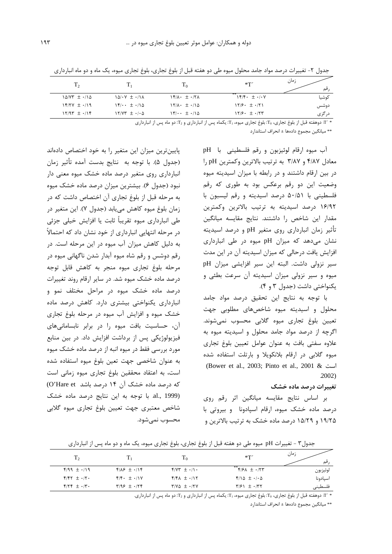| $T_{2}$                  |                                           | 1 <sub>0</sub>                                           | $*T'$                               | زمان<br>قم |
|--------------------------|-------------------------------------------|----------------------------------------------------------|-------------------------------------|------------|
| $1\Delta/VT = -11\Delta$ | $\Delta/\cdot V = \cdot/\lambda$          | $Yf/\lambda \cdot \pm \cdot$                             | $Y(f)(f \cdot \pm \cdot)/\cdot V$   | كوشيا      |
| $15/7V \pm ./19$         | $\sqrt{5}/\cdot \cdot \pm \cdot/\sqrt{2}$ | $11/\lambda \cdot \pm \cdot/10$                          | $17/9$ $\cdot$ $\pm$ $\cdot$ /71    | دوشس       |
| $11/97 \pm .119$         | $17/97 \pm ./0.0$                         | $\frac{1}{\sqrt{2}}$ $\cdot$ $\pm$ $\cdot$ $\cdot$ $\pm$ | $17/9$ $\cdot$ $\pm$ $\cdot$ / $77$ | در گزی     |

جدول ۲- تغییرات درصد مواد جامد محلول میوه طی دو هفته قبل از بلوغ تجاری، بلوغ تجاری میوه، یک ماه و دو ماه انبارداری

\* 'T: دوهفته قبل از بلوغ تجاري، T<sub>0</sub>: بلوغ تجاري ميوه، T1: يكماه پس از انبارداري و T2: دو ماه پس از انبارداري

\*\* میانگین محموع دادهها ± انحراف استاندارد

آب ميوه ارقام لوئيزبون ورقم فلسطيني با pH معادل ۴/۸۷ و ۳/۸۷ به ترتیب بالاترین وکمترین pH را در بین ارقام داشتند و در رابطه با میزان اسیدیته میوه وضعیت این دو رقم برعکس بود به طوری که رقم فلسطینی با ۵۰/۵۱ درصد اسیدیته و رقم لیسبون با ۱۶/۹۲ درصد اسیدیته به ترتیب بالاترین وکمترین مقدار این شاخص را داشتند. نتایج مقایسه میانگین تأثیر زمان انبارداری روی متغیر pH و درصد اسیدیته نشان می دهد که میزان pH میوه در طی انبارداری افزایش یافت درحالی که میزان اسیدیته آن در این مدت سير نزولي داشت. البته اين سير افزايشي ميزان pH میوه و سیر نزولی میزان اسیدیته آن سرعت بطئی و یکنواختی داشت (جدول ۳ و ۴).

با توجه به نتايج اين تحقيق درصد مواد جامد محلول و اسیدیته میوه شاخصهای مطلوبی جهت تعيين بلوغ تجاري ميوه گلابي محسوب نمي شوند. اگرچه از درصد مواد جامد محلول و اسیدیته میوه به علاوه سفتي بافت به عنوان عوامل تعيين بلوغ تجارى میوه گلابی در ارقام بلانکویلا و بارتلت استفاده شده (Bower et al., 2003; Pinto et al., 2001 &  $2002$ 

### تغییرات درصد ماده خشک

بر اساس نتایج مقایسه میانگین اثر رقم روی درصد ماده خشک میوه، ارقام اسپادونا و بیروتی با ۱۹/۲۵ و ۱۵/۲۹ درصد ماده خشک به ترتیب بالاترین و

پایینترین میزان این متغیر را به خود اختصاص دادهاند (جدول ۵). با توجه به نتايج بدست آمده تأثير زمان انبارداری روی متغیر درصد ماده خشک میوه معنی دار نبود (جدول ۶). بیشترین میزان درصد ماده خشک میوه به مرحله قبل از بلوغ تجاري آن اختصاص داشت كه در زمان بلوغ ميوه كاهش مي يابد (جدول ٧). اين متغير در طی انبارداری میوه تقریباً ثابت یا افزایش خیلی جزئی در مرحله انتهایی انبارداری از خود نشان داد که احتمالاً به دلیل کاهش میزان آب میوه در این مرحله است. در رقم دوشس و رقم شاه میوه آبدار شدن ناگهانی میوه در مرحله بلوغ تجارى ميوه منجر به كاهش قابل توجه درصد ماده خشک میوه شد. در سایر ارقام روند تغییرات درصد ماده خشک میوه در مراحل مختلف نمو و انبارداری یکنواختی بیشتری دارد. کاهش درصد ماده خشک میوه و افزایش آب میوه در مرحله بلوغ تجاری آن، حساسیت بافت میوه را در برابر نابسامانیهای فیزیولوژیکی پس از برداشت افزایش داد. در بین منابع مورد بررسی فقط در میوه انبه از درصد ماده خشک میوه به عنوان شاخصى جهت تعين بلوغ ميوه استفاده شده است، به اعتقاد محققین بلوغ تجاری میوه زمانی است که درصد ماده خشک آن ۱۴ درصد باشد O'Hare et) al., 1999). با توجه به این نتایج درصد ماده خشک شاخص معتبري جهت تعيين بلوغ تجارى ميوه گلابي محسوب نمى شود.

| $T_{2}$            | $\rm{T}_1$                             | $T_0$                     | $*T'$                                      | زمان<br>قم |
|--------------------|----------------------------------------|---------------------------|--------------------------------------------|------------|
| $9199 \pm .119$    | $Y/\lambda$ $\neq$ $\cdot$ / $\lambda$ | $f/VT = \cdot/1$ .        | **<br>$f/2A \pm 1.77$                      | لوئيزبون   |
| $Y/Y \pm \cdot/Y$  | $f/f \cdot \pm \cdot / \sqrt{V}$       | $Y/K\Lambda \pm \cdot/17$ | $9/10 \pm 1/6$                             | اسيادونا   |
| $Y/YY \pm \cdot/Y$ | $Y/99 = \cdot 179$                     | $Y/V\Delta \pm \cdot/YV$  | $\mathbf{Y}$ / $\mathbf{Y}$ + $\mathbf{Y}$ | فلسطيني    |
|                    |                                        |                           |                                            |            |

جدول۳ - تغییرات pH میوه طی دو هفته قبل از بلوغ تجاری، بلوغ تجاری میوه، یک ماه و دو ماه پس از انبارداری

\* ′T: دوهفته قبل از بلوغ تجاري، T3: بلوغ تجاري ميوه، T1: يكماه پس از انبارداري و 72: دو ماه پس از انبارداري.

\*\* ميانگين مجموع دادهها ± انحراف استاندا<sub>د</sub>د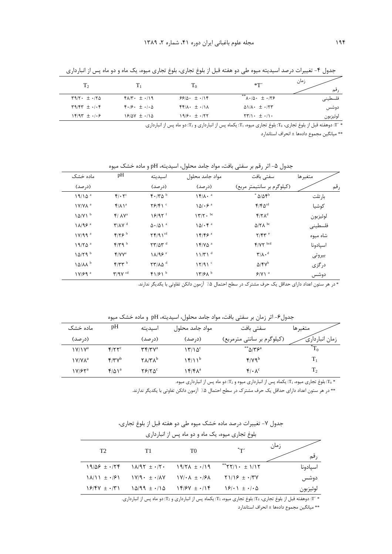| T,                                                       |                                                                           | $T_0$                                                             | *Т′                                                       | زمان<br>قم |
|----------------------------------------------------------|---------------------------------------------------------------------------|-------------------------------------------------------------------|-----------------------------------------------------------|------------|
| $\Gamma$ 9/۲ $\cdot$ $\pm$ $\cdot$ /۲ $\Delta$           | $f\Lambda/\Upsilon$ + $\pm$ $\cdot$ /19                                   | $99/0. \pm .1$                                                    | **<br>$\Lambda \cdot \Delta \cdot \pm \cdot 179$          | فلسطيني    |
| $\Gamma$ 9/4 $\Gamma$ $\pm$ $\cdot$ / $\cdot$ $\uparrow$ | $\mathbf{f} \cdot \mathbf{f} \cdot \pm \cdot \mathbf{f} \cdot \mathbf{A}$ | $\mathbf{f} \mathbf{f} / \mathbf{A} \cdot \pm \cdot / \mathbf{A}$ | $\Delta I/\Lambda$ $\cdot$ $\pm$ $\cdot$ /٢٣              | دوشس       |
| $15/97 \pm .1.9$                                         | $19/4V \pm 1/14$                                                          | $19/9.5 \pm .757$                                                 | $\Upsilon \Upsilon / \Upsilon \cdot \pm \cdot / \Upsilon$ | لوئيزبون   |

جدول ۴- تغییرات درصد اسیدیته میوه طی دو هفته قبل از بلوغ تجاری، بلوغ تجاری میوه، یک ماه و دو ماه پس از انبارداری

\* ·r· دوهفته قبل از بلوغ تجاري، T، بلوغ تجاري ميوه، T: يكماه پس از انبارداري و T: دو ماه پس از انبارداري.

\*\* ميانگين مجموع دادهها ± انحراف استاندار د

| جدول ۵– اثر رقم بر سفتی بافت، مواد جامد محلول، اسیدیته، pH و ماده خشک میوه |  |  |  |  |  |
|----------------------------------------------------------------------------|--|--|--|--|--|
|----------------------------------------------------------------------------|--|--|--|--|--|

| ماده خشک                                 | pH                                             | اسيديته                                                      | مواد جامد محلول                                         | سفتى بافت                                    | متغيرها  |
|------------------------------------------|------------------------------------------------|--------------------------------------------------------------|---------------------------------------------------------|----------------------------------------------|----------|
| (درصد)                                   |                                                | (د <sub>ر</sub> صد)                                          | (در صد)                                                 | (کیلوگرم بر سانتیمتر مربع)                   | رقم      |
| $19/10^a$                                | $f/\cdot 7^c$                                  | $f \cdot  Y \Delta^b$                                        | $\mathcal{N}(\Lambda)$ . $\alpha$                       | $^*$ $\Delta/\Delta \mathbf{S}^{\mathrm{b}}$ | بار تلت  |
| $1$ Y/Y $\Lambda$ <sup>a</sup>           | $f/\lambda$ <sup>a</sup>                       | $Y$ $Y$ $Y$ $Y$                                              | $\left(\frac{\delta}{\epsilon}\right) \cdot \epsilon^a$ | $f/f \Delta^{cd}$                            | كوشيا    |
| $10/Y1^b$                                | $f / \Lambda V^a$                              | $18/97$ <sup>f</sup>                                         | $177 \cdot \text{pc}$                                   | $f/\gamma \Lambda^d$                         | لوئيزبون |
| $1\lambda$ /9 $\mathcal{F}$ <sup>a</sup> | $\mathbf{Y}/\mathbf{A}\mathbf{V}$ <sup>d</sup> | $\Delta \cdot / \Delta$ \ $^{\rm a}$                         | 10/·f <sup>a</sup>                                      | $\Delta$ / $\Upsilon$ <sup>bc</sup>          | فلسطيني  |
| 1V/99a                                   | $f/\gamma$ ۶ <sup>b</sup>                      | $\uparrow \uparrow / 9$ $\uparrow$ $^{cd}$                   | 15/5                                                    | $Y/FY^e$                                     | شاه میوه |
| $19/70$ <sup>a</sup>                     | $f/T$ 9 <sup>b</sup>                           | $\mathbf{Y} \mathbf{Y} / \Delta \mathbf{Y}$ <sup>d</sup>     | $1f/V\Delta^a$                                          | $f/YY$ <sup>bcd</sup>                        | اسپادونا |
| $10/79$ <sup>b</sup>                     | $f/VV^a$                                       | $1\lambda$ /9 $\epsilon$ <sup>e</sup>                        | 11/T1 <sup>d</sup>                                      | $\mathbf{Y}/\mathbf{A} \cdot \mathbf{d}$     | بيروتي   |
| $10/\lambda\lambda^b$                    | $f/TT^b$                                       | $\mathbf{Y} \mathbf{Y} / \mathbf{A} \mathbf{A}$ <sup>d</sup> | 17/91                                                   | $\Delta$ /۴ $V^{\rm b}$                      | در گزی   |
| $1V/F9$ <sup>a</sup>                     | $Y/9V$ <sup>cd</sup>                           | $f1/\mathcal{F}1^b$                                          | 17/8 <sup>b</sup>                                       | $9/1$ <sup>a</sup>                           | دوشس     |

\* در هر ستون اعداد دارای حداقل یک حرف مشترک در سطح احتمال ۵٪ آزمون دانکن تفاوتی با یکدیگر ندارند.

جدول۶- اثر زمان بر سفتی بافت، مواد جامد محلول، اسیدیته، pH و ماده خشک میوه

| ماده خشک                | pH                      | اسيديته                                                        | مواد جامد محلول             | سفتی بافت                    | متغيرها        |
|-------------------------|-------------------------|----------------------------------------------------------------|-----------------------------|------------------------------|----------------|
| (د, صد)                 |                         | (د, صد)                                                        | (د <sub>ر</sub> صد)         | (کیلوگرم بر سانتی مترمربع)   | زمان انبارداري |
| $\frac{1}{\sqrt{2}}$    | $f/\gamma\gamma^c$      | $\mathbf{r} \mathbf{r}$ / $\mathbf{r} \mathbf{v}^{\mathrm{a}}$ | $\mathcal{N}/\mathcal{N}^c$ | ** $\wedge$ /۳۶ <sup>a</sup> |                |
| ነ V/V $\Lambda^{\rm a}$ | $F/YV^b$                | $\mathsf{Y}\Lambda\mathsf{Y}\mathsf{Y}\Lambda^\mathsf{b}$      | ۱۴/۱۱ <sup>b</sup>          | $f/Vq^b$                     | $\rm T_1$      |
| ۱۷/۶۲ª                  | $f/\Delta$ <sup>a</sup> | ۲۶۱۲ ۵ <sup>c</sup>                                            | ۱۴/۴۸ª                      | $f \cdot \lambda^c$          | т,             |

بلوغ تجاری میوه،  $\rm T_{1}$ : یکماه پس از انبارداری میوه و  $\rm T_{2}$ : دو ماه پس از انبارداری میوه.  $\rm T_{0}$ 

\*\* در هر ستون اعداد دارای حداقل یک حرف مشترک در سطح احتمال ۰٫۵٪ آزمون دانکن تفاوتی با یکدیگر ندارند.

جدول ٧- تغييرات درصد ماده خشک ميوه طي دو هفته قبل از بلوغ تجاري،

|  | بلوغ تجاری میوه، یک ماه و دو ماه پس از انبارداری |  |
|--|--------------------------------------------------|--|
|  |                                                  |  |

|                                                         |                                                                                                                                             |                                          | .                                                                                                              |              |
|---------------------------------------------------------|---------------------------------------------------------------------------------------------------------------------------------------------|------------------------------------------|----------------------------------------------------------------------------------------------------------------|--------------|
| T <sub>2</sub>                                          | T1                                                                                                                                          | T0                                       | *π۰                                                                                                            | زمان<br>ر قم |
| $19/29 \pm .759$                                        | $\lambda/\sqrt{3}$ $\pm$ $\cdot$ / $\tau$ $\cdot$                                                                                           | $19/7\lambda \pm \cdot 119$              | $*$ * $Y$ / $\cdot$ $\pm$ $1/17$                                                                               | اسيادونا     |
| $ \lambda/\rangle$ $\pm$ $\cdot$ / $\approx$ $\sqrt{5}$ | $\frac{1}{4}$ $\frac{1}{4}$ $\frac{1}{4}$ $\frac{1}{4}$ $\frac{1}{4}$ $\frac{1}{4}$ $\frac{1}{4}$ $\frac{1}{4}$ $\frac{1}{4}$ $\frac{1}{4}$ | $\sqrt{21} \cdot \sqrt{2}$ + $\sqrt{21}$ | $\gamma$ $\gamma$ $\gamma$ $\gamma$ $\gamma$ $\gamma$ $\gamma$                                                 | دوشس         |
| $\frac{8}{7}$                                           | $\Delta$ $\Delta$ $\Delta$ 99 $\pm$ $\cdot$ $\Delta$                                                                                        | $Yf/\gamma Y = \cdot/Y$                  | $\left( \frac{5}{2} \right) \cdot \left( \frac{1}{2} \right) \pm \frac{1}{2} \cdot \left  \frac{1}{2} \right $ | لوئيزبون     |

\* 'T: دوهفته قبل از بلوغ تجاري، T0: بلوغ تجاري ميوه، T: يكماه پس از انبارداري و T2: دو ماه پس از انبارداري.

\*\* ميانگين مجموع دادهها ± انحراف استاندارد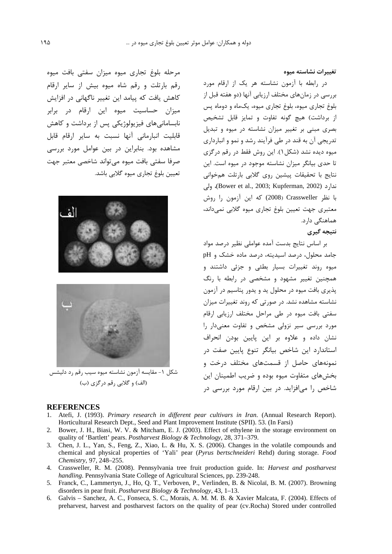تغييرات نشاسته ميوه

در رابطه با آزمون نشاسته هر یک از ارقام مورد بررسی در زمانهای مختلف ارزیابی آنها (دو هفته قبل از بلوغ تجاری میوه، بلوغ تجاری میوه، یکماه و دوماه پس از برداشت) هیچ گونه تفاوت و تمایز قابل تشخیص بصری مبنی بر تغییر میزان نشاسته در میوه و تبدیل تدریجے آن به قند در طے، فرآیند رشد و نمو و انبارداری میوه دیده نشد (شکل ۱). این روش فقط در رقم درگزی تا حدی بیانگر میزان نشاسته موجود در میوه است. این نتايج با تحقيقات پيشين روى گلابي بارتلت همخواني ندارد (Bower et al., 2003; Kupferman, 2002)، ولي با نظر Crassweller (2008) كه اين آزمون را روش معتبري جهت تعيين بلوغ تجارى ميوه گلابي نمى داند، هماهنگے دارد.

### نتيجه گيري

بر اساس نتایج بدست آمده عواملی نظیر درصد مواد جامد محلول، درصد اسیدیته، درصد ماده خشک و pH میوه روند تغییرات بسیار بطئی و جزئی داشتند و همچنین تغییر مشهود و مشخصی در رابطه با رنگ پذیری بافت میوه در محلول ید و یدور پتاسیم در آزمون نشاسته مشاهده نشد. در صورتی که روند تغییرات میزان سفتی بافت میوه در طی مراحل مختلف ارزیابی ارقام مورد بررسی سیر نزولی مشخص و تفاوت معنیدار را نشان داده و علاوه بر این پایین بودن انحراف استاندارد این شاخص بیانگر تنوع پایین صفت در نمونههای حاصل از قسمتهای مختلف درخت و بخش های متفاوت میوه بوده و ضریب اطمینان این شاخص را می|فزاید. در بین ارقام مورد بررسی در

مرحله بلوغ تجارى ميوه ميزان سفتى بافت ميوه رقم بارتلت و رقم شاه میوه بیش از سایر ارقام کاهش یافت که پیامد این تغییر ناگهانی در افزایش .<br>میزان حساسیت میوه این ارقام در برابر نابسامانی های فیزیولوژیکی پس از برداشت و کاهش قابلیت انبارمانی آنها نسبت به سایر ارقام قابل مشاهده بود. بنابراین در بین عوامل مورد بررسی صرفا سفتى بافت ميوه مى تواند شاخصى معتبر جهت تعيين بلوغ تجاري ميوه گلابي باشد.





شکل ۱- مقایسه آزمون نشاسته میوه سیب رقم رد دلیشس (الف) و گلابی رقم درگزی (ب)

## **REFERENCES**

- Atefi, J. (1993). Primary research in different pear cultivars in Iran. (Annual Research Report). Horticultural Research Dept., Seed and Plant Improvement Institute (SPII). 53. (In Farsi)
- 2. Bower, J. H., Biasi, W. V. & Mitcham, E. J. (2003). Effect of ethylene in the storage environment on quality of 'Bartlett' pears. Postharvest Biology & Technology, 28, 371–379.
- 3. Chen, J. L., Yan, S., Feng, Z., Xiao, L. & Hu, X. S. (2006). Changes in the volatile compounds and chemical and physical properties of 'Yali' pear (Pyrus bertschneideri Rehd) during storage. Food Chemistry, 97, 248-255.
- 4. Crassweller, R. M. (2008). Pennsylvania tree fruit production guide. In: Harvest and postharvest handling. Pennsylvania State College of Agricultural Sciences, pp. 239-248.
- 5. Franck, C., Lammertyn, J., Ho, Q. T., Verboven, P., Verlinden, B. & Nicolaï, B. M. (2007). Browning disorders in pear fruit. Postharvest Biology & Technology, 43, 1–13.
- 6. Galvis Sanchez, A. C., Fonseca, S. C., Morais, A. M. M. B. & Xavier Malcata, F. (2004). Effects of preharvest, harvest and postharvest factors on the quality of pear (cv.Rocha) Stored under controlled